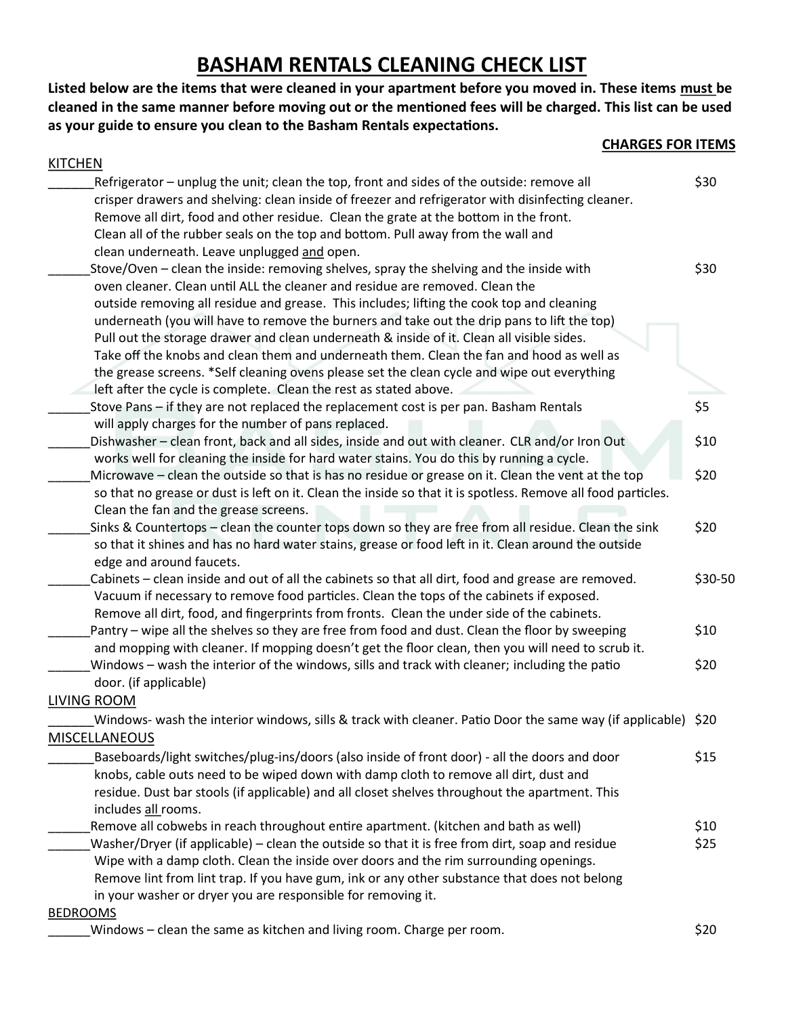## **BASHAM RENTALS CLEANING CHECK LIST**

**Listed below are the items that were cleaned in your apartment before you moved in. These items must be cleaned in the same manner before moving out or the mentioned fees will be charged. This list can be used as your guide to ensure you clean to the Basham Rentals expectations.**

| <b>CHARGES FOR ITEMS</b>                                                                                     |         |
|--------------------------------------------------------------------------------------------------------------|---------|
| <b>KITCHEN</b>                                                                                               |         |
| Refrigerator - unplug the unit; clean the top, front and sides of the outside: remove all                    | \$30    |
| crisper drawers and shelving: clean inside of freezer and refrigerator with disinfecting cleaner.            |         |
| Remove all dirt, food and other residue. Clean the grate at the bottom in the front.                         |         |
| Clean all of the rubber seals on the top and bottom. Pull away from the wall and                             |         |
| clean underneath. Leave unplugged and open.                                                                  |         |
| Stove/Oven - clean the inside: removing shelves, spray the shelving and the inside with                      | \$30    |
| oven cleaner. Clean until ALL the cleaner and residue are removed. Clean the                                 |         |
| outside removing all residue and grease. This includes; lifting the cook top and cleaning                    |         |
| underneath (you will have to remove the burners and take out the drip pans to lift the top)                  |         |
| Pull out the storage drawer and clean underneath & inside of it. Clean all visible sides.                    |         |
| Take off the knobs and clean them and underneath them. Clean the fan and hood as well as                     |         |
| the grease screens. *Self cleaning ovens please set the clean cycle and wipe out everything                  |         |
| left after the cycle is complete. Clean the rest as stated above.                                            |         |
| Stove Pans – if they are not replaced the replacement cost is per pan. Basham Rentals                        | \$5     |
| will apply charges for the number of pans replaced.                                                          |         |
| Dishwasher - clean front, back and all sides, inside and out with cleaner. CLR and/or Iron Out               | \$10    |
| works well for cleaning the inside for hard water stains. You do this by running a cycle.                    |         |
| Microwave - clean the outside so that is has no residue or grease on it. Clean the vent at the top           | \$20    |
| so that no grease or dust is left on it. Clean the inside so that it is spotless. Remove all food particles. |         |
| Clean the fan and the grease screens.                                                                        |         |
| Sinks & Countertops - clean the counter tops down so they are free from all residue. Clean the sink          | \$20    |
| so that it shines and has no hard water stains, grease or food left in it. Clean around the outside          |         |
| edge and around faucets.                                                                                     |         |
| Cabinets - clean inside and out of all the cabinets so that all dirt, food and grease are removed.           | \$30-50 |
| Vacuum if necessary to remove food particles. Clean the tops of the cabinets if exposed.                     |         |
| Remove all dirt, food, and fingerprints from fronts. Clean the under side of the cabinets.                   |         |
| Pantry – wipe all the shelves so they are free from food and dust. Clean the floor by sweeping               | \$10    |
| and mopping with cleaner. If mopping doesn't get the floor clean, then you will need to scrub it.            |         |
| Windows - wash the interior of the windows, sills and track with cleaner; including the patio                | \$20    |
| door. (if applicable)                                                                                        |         |
| <b>LIVING ROOM</b>                                                                                           |         |
| Windows- wash the interior windows, sills & track with cleaner. Patio Door the same way (if applicable) \$20 |         |
| <b>MISCELLANEOUS</b>                                                                                         |         |
| Baseboards/light switches/plug-ins/doors (also inside of front door) - all the doors and door                | \$15    |
| knobs, cable outs need to be wiped down with damp cloth to remove all dirt, dust and                         |         |
| residue. Dust bar stools (if applicable) and all closet shelves throughout the apartment. This               |         |
| includes all rooms.                                                                                          |         |
| Remove all cobwebs in reach throughout entire apartment. (kitchen and bath as well)                          | \$10    |
| Washer/Dryer (if applicable) - clean the outside so that it is free from dirt, soap and residue              | \$25    |
| Wipe with a damp cloth. Clean the inside over doors and the rim surrounding openings.                        |         |
| Remove lint from lint trap. If you have gum, ink or any other substance that does not belong                 |         |
| in your washer or dryer you are responsible for removing it.                                                 |         |
| <b>BEDROOMS</b>                                                                                              |         |

\_\_\_\_\_\_Windows – clean the same as kitchen and living room. Charge per room. \$20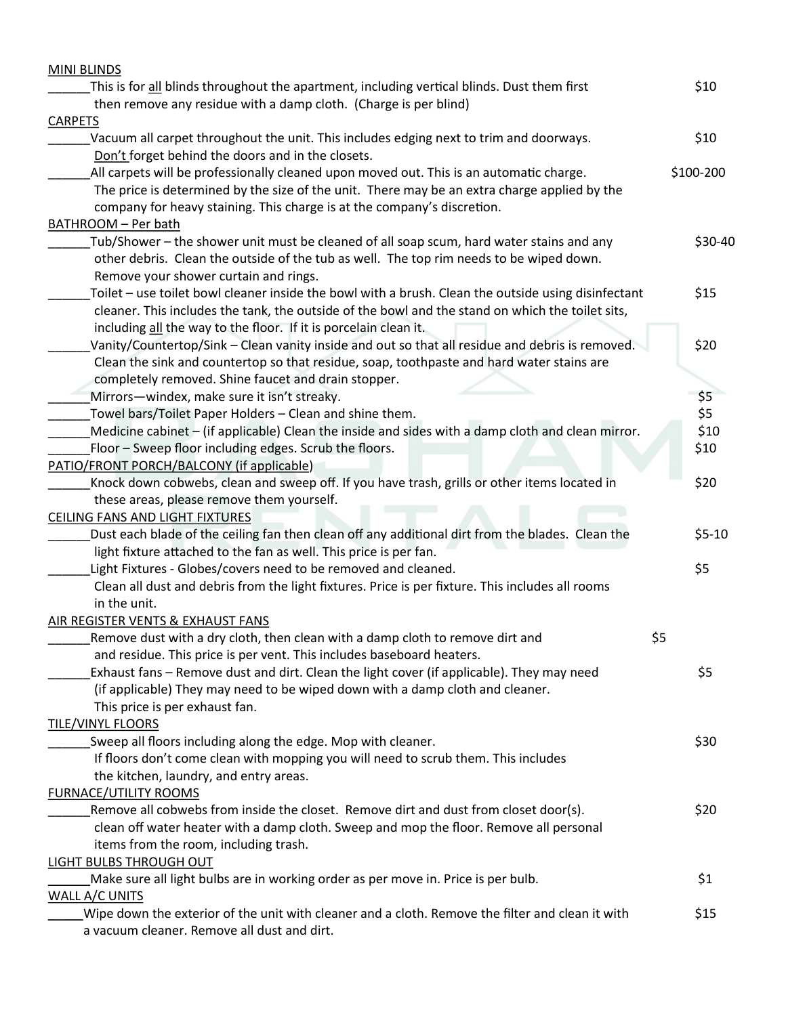| <b>MINI BLINDS</b>                                                                                                                                                 |     |           |
|--------------------------------------------------------------------------------------------------------------------------------------------------------------------|-----|-----------|
| This is for all blinds throughout the apartment, including vertical blinds. Dust them first                                                                        |     | \$10      |
| then remove any residue with a damp cloth. (Charge is per blind)                                                                                                   |     |           |
| <b>CARPETS</b><br>Vacuum all carpet throughout the unit. This includes edging next to trim and doorways.                                                           |     | \$10      |
| Don't forget behind the doors and in the closets.                                                                                                                  |     |           |
| All carpets will be professionally cleaned upon moved out. This is an automatic charge.                                                                            |     | \$100-200 |
| The price is determined by the size of the unit. There may be an extra charge applied by the                                                                       |     |           |
| company for heavy staining. This charge is at the company's discretion.                                                                                            |     |           |
| BATHROOM - Per bath                                                                                                                                                |     |           |
| Tub/Shower - the shower unit must be cleaned of all soap scum, hard water stains and any                                                                           |     | \$30-40   |
| other debris. Clean the outside of the tub as well. The top rim needs to be wiped down.                                                                            |     |           |
| Remove your shower curtain and rings.                                                                                                                              |     |           |
| Toilet - use toilet bowl cleaner inside the bowl with a brush. Clean the outside using disinfectant                                                                |     | \$15      |
| cleaner. This includes the tank, the outside of the bowl and the stand on which the toilet sits,                                                                   |     |           |
| including all the way to the floor. If it is porcelain clean it.                                                                                                   |     |           |
| Vanity/Countertop/Sink - Clean vanity inside and out so that all residue and debris is removed.                                                                    |     | \$20      |
| Clean the sink and countertop so that residue, soap, toothpaste and hard water stains are                                                                          |     |           |
| completely removed. Shine faucet and drain stopper.                                                                                                                |     |           |
| Mirrors-windex, make sure it isn't streaky.                                                                                                                        |     | \$5       |
| Towel bars/Toilet Paper Holders - Clean and shine them.                                                                                                            |     | \$5       |
| Medicine cabinet – (if applicable) Clean the inside and sides with a damp cloth and clean mirror.                                                                  |     | \$10      |
| Floor - Sweep floor including edges. Scrub the floors.                                                                                                             |     | \$10      |
| <b>PATIO/FRONT PORCH/BALCONY (if applicable)</b>                                                                                                                   |     |           |
| Knock down cobwebs, clean and sweep off. If you have trash, grills or other items located in                                                                       |     | \$20      |
| these areas, please remove them yourself.                                                                                                                          |     |           |
| <b>CEILING FANS AND LIGHT FIXTURES</b>                                                                                                                             |     |           |
| Dust each blade of the ceiling fan then clean off any additional dirt from the blades. Clean the                                                                   |     | $$5-10$   |
| light fixture attached to the fan as well. This price is per fan.                                                                                                  |     |           |
| Light Fixtures - Globes/covers need to be removed and cleaned.<br>Clean all dust and debris from the light fixtures. Price is per fixture. This includes all rooms |     | \$5       |
| in the unit.                                                                                                                                                       |     |           |
|                                                                                                                                                                    |     |           |
| AIR REGISTER VENTS & EXHAUST FANS<br>Remove dust with a dry cloth, then clean with a damp cloth to remove dirt and                                                 | \$5 |           |
| and residue. This price is per vent. This includes baseboard heaters.                                                                                              |     |           |
| Exhaust fans - Remove dust and dirt. Clean the light cover (if applicable). They may need                                                                          |     | \$5       |
| (if applicable) They may need to be wiped down with a damp cloth and cleaner.                                                                                      |     |           |
| This price is per exhaust fan.                                                                                                                                     |     |           |
| <b>TILE/VINYL FLOORS</b>                                                                                                                                           |     |           |
| Sweep all floors including along the edge. Mop with cleaner.                                                                                                       |     | \$30      |
| If floors don't come clean with mopping you will need to scrub them. This includes                                                                                 |     |           |
| the kitchen, laundry, and entry areas.                                                                                                                             |     |           |
| <b>FURNACE/UTILITY ROOMS</b>                                                                                                                                       |     |           |
| Remove all cobwebs from inside the closet. Remove dirt and dust from closet door(s).                                                                               |     | \$20      |
| clean off water heater with a damp cloth. Sweep and mop the floor. Remove all personal                                                                             |     |           |
| items from the room, including trash.                                                                                                                              |     |           |
| LIGHT BULBS THROUGH OUT                                                                                                                                            |     |           |
| Make sure all light bulbs are in working order as per move in. Price is per bulb.                                                                                  |     | \$1       |
| <b>WALL A/C UNITS</b>                                                                                                                                              |     |           |
| Wipe down the exterior of the unit with cleaner and a cloth. Remove the filter and clean it with                                                                   |     | \$15      |
| a vacuum cleaner. Remove all dust and dirt.                                                                                                                        |     |           |
|                                                                                                                                                                    |     |           |